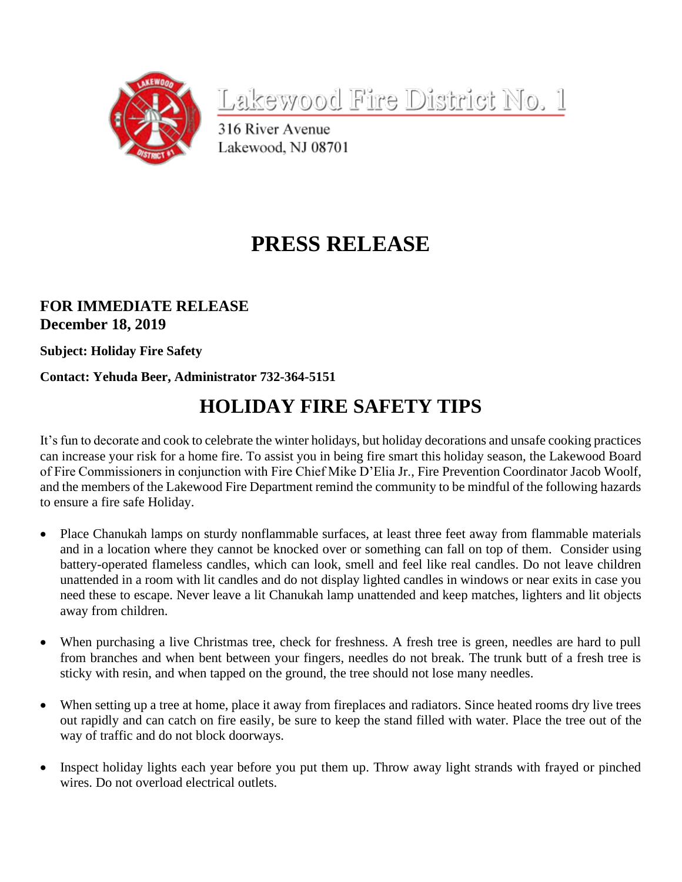

Lakewood Fire District No. 1

316 River Avenue Lakewood, NJ 08701

## **PRESS RELEASE**

## **FOR IMMEDIATE RELEASE December 18, 2019**

**Subject: Holiday Fire Safety**

## **Contact: Yehuda Beer, Administrator 732-364-5151**

## **HOLIDAY FIRE SAFETY TIPS**

It's fun to decorate and cook to celebrate the winter holidays, but holiday decorations and unsafe cooking practices can increase your risk for a home fire. To assist you in being fire smart this holiday season, the Lakewood Board of Fire Commissioners in conjunction with Fire Chief Mike D'Elia Jr., Fire Prevention Coordinator Jacob Woolf, and the members of the Lakewood Fire Department remind the community to be mindful of the following hazards to ensure a fire safe Holiday.

- Place Chanukah lamps on sturdy nonflammable surfaces, at least three feet away from flammable materials and in a location where they cannot be knocked over or something can fall on top of them. Consider using battery-operated flameless candles, which can look, smell and feel like real candles. Do not leave children unattended in a room with lit candles and do not display lighted candles in windows or near exits in case you need these to escape. Never leave a lit Chanukah lamp unattended and keep matches, lighters and lit objects away from children.
- When purchasing a live Christmas tree, check for freshness. A fresh tree is green, needles are hard to pull from branches and when bent between your fingers, needles do not break. The trunk butt of a fresh tree is sticky with resin, and when tapped on the ground, the tree should not lose many needles.
- When setting up a tree at home, place it away from fireplaces and radiators. Since heated rooms dry live trees out rapidly and can catch on fire easily, be sure to keep the stand filled with water. Place the tree out of the way of traffic and do not block doorways.
- Inspect holiday lights each year before you put them up. Throw away light strands with frayed or pinched wires. Do not overload electrical outlets.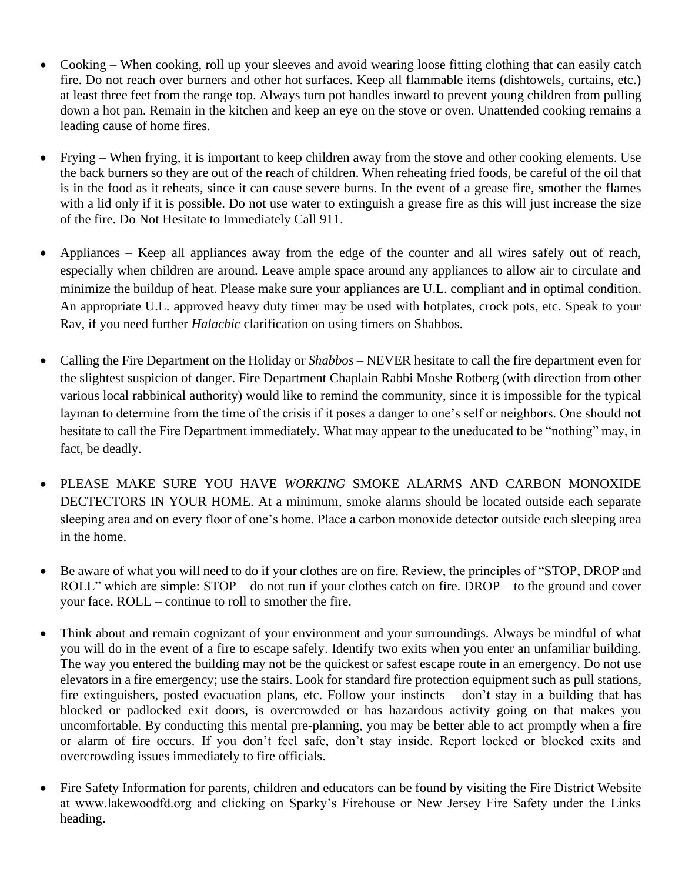- Cooking When cooking, roll up your sleeves and avoid wearing loose fitting clothing that can easily catch fire. Do not reach over burners and other hot surfaces. Keep all flammable items (dishtowels, curtains, etc.) at least three feet from the range top. Always turn pot handles inward to prevent young children from pulling down a hot pan. Remain in the kitchen and keep an eye on the stove or oven. Unattended cooking remains a leading cause of home fires.
- Frying When frying, it is important to keep children away from the stove and other cooking elements. Use the back burners so they are out of the reach of children. When reheating fried foods, be careful of the oil that is in the food as it reheats, since it can cause severe burns. In the event of a grease fire, smother the flames with a lid only if it is possible. Do not use water to extinguish a grease fire as this will just increase the size of the fire. Do Not Hesitate to Immediately Call 911.
- Appliances Keep all appliances away from the edge of the counter and all wires safely out of reach, especially when children are around. Leave ample space around any appliances to allow air to circulate and minimize the buildup of heat. Please make sure your appliances are U.L. compliant and in optimal condition. An appropriate U.L. approved heavy duty timer may be used with hotplates, crock pots, etc. Speak to your Rav, if you need further *Halachic* clarification on using timers on Shabbos.
- Calling the Fire Department on the Holiday or *Shabbos* NEVER hesitate to call the fire department even for the slightest suspicion of danger. Fire Department Chaplain Rabbi Moshe Rotberg (with direction from other various local rabbinical authority) would like to remind the community, since it is impossible for the typical layman to determine from the time of the crisis if it poses a danger to one's self or neighbors. One should not hesitate to call the Fire Department immediately. What may appear to the uneducated to be "nothing" may, in fact, be deadly.
- PLEASE MAKE SURE YOU HAVE *WORKING* SMOKE ALARMS AND CARBON MONOXIDE DECTECTORS IN YOUR HOME. At a minimum, smoke alarms should be located outside each separate sleeping area and on every floor of one's home. Place a carbon monoxide detector outside each sleeping area in the home.
- Be aware of what you will need to do if your clothes are on fire. Review, the principles of "STOP, DROP and ROLL" which are simple: STOP – do not run if your clothes catch on fire. DROP – to the ground and cover your face. ROLL – continue to roll to smother the fire.
- Think about and remain cognizant of your environment and your surroundings. Always be mindful of what you will do in the event of a fire to escape safely. Identify two exits when you enter an unfamiliar building. The way you entered the building may not be the quickest or safest escape route in an emergency. Do not use elevators in a fire emergency; use the stairs. Look for standard fire protection equipment such as pull stations, fire extinguishers, posted evacuation plans, etc. Follow your instincts – don't stay in a building that has blocked or padlocked exit doors, is overcrowded or has hazardous activity going on that makes you uncomfortable. By conducting this mental pre-planning, you may be better able to act promptly when a fire or alarm of fire occurs. If you don't feel safe, don't stay inside. Report locked or blocked exits and overcrowding issues immediately to fire officials.
- Fire Safety Information for parents, children and educators can be found by visiting the Fire District Website at www.lakewoodfd.org and clicking on Sparky's Firehouse or New Jersey Fire Safety under the Links heading.